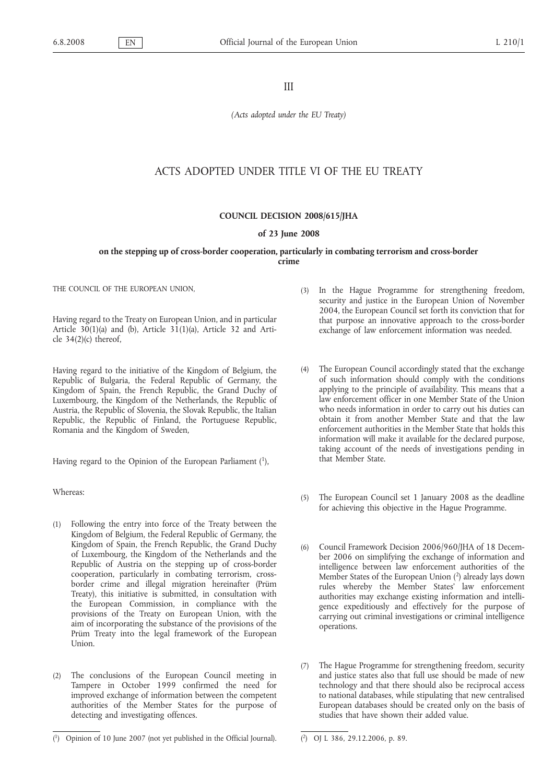III

*(Acts adopted under the EU Treaty)*

# ACTS ADOPTED UNDER TITLE VI OF THE EU TREATY

### **COUNCIL DECISION 2008/615/JHA**

### **of 23 June 2008**

# **on the stepping up of cross-border cooperation, particularly in combating terrorism and cross-border crime**

THE COUNCIL OF THE EUROPEAN UNION,

Having regard to the Treaty on European Union, and in particular Article 30(1)(a) and (b), Article 31(1)(a), Article 32 and Article 34(2)(c) thereof,

Having regard to the initiative of the Kingdom of Belgium, the Republic of Bulgaria, the Federal Republic of Germany, the Kingdom of Spain, the French Republic, the Grand Duchy of Luxembourg, the Kingdom of the Netherlands, the Republic of Austria, the Republic of Slovenia, the Slovak Republic, the Italian Republic, the Republic of Finland, the Portuguese Republic, Romania and the Kingdom of Sweden,

Having regard to the Opinion of the European Parliament (1),

Whereas:

- Following the entry into force of the Treaty between the Kingdom of Belgium, the Federal Republic of Germany, the Kingdom of Spain, the French Republic, the Grand Duchy of Luxembourg, the Kingdom of the Netherlands and the Republic of Austria on the stepping up of cross-border cooperation, particularly in combating terrorism, crossborder crime and illegal migration hereinafter (Prüm Treaty), this initiative is submitted, in consultation with the European Commission, in compliance with the provisions of the Treaty on European Union, with the aim of incorporating the substance of the provisions of the Prüm Treaty into the legal framework of the European Union.
- The conclusions of the European Council meeting in Tampere in October 1999 confirmed the need for improved exchange of information between the competent authorities of the Member States for the purpose of detecting and investigating offences.
- (3) In the Hague Programme for strengthening freedom, security and justice in the European Union of November 2004, the European Council set forth its conviction that for that purpose an innovative approach to the cross-border exchange of law enforcement information was needed.
- (4) The European Council accordingly stated that the exchange of such information should comply with the conditions applying to the principle of availability. This means that a law enforcement officer in one Member State of the Union who needs information in order to carry out his duties can obtain it from another Member State and that the law enforcement authorities in the Member State that holds this information will make it available for the declared purpose, taking account of the needs of investigations pending in that Member State.
- (5) The European Council set 1 January 2008 as the deadline for achieving this objective in the Hague Programme.
- (6) Council Framework Decision 2006/960/JHA of 18 December 2006 on simplifying the exchange of information and intelligence between law enforcement authorities of the Member States of the European Union <sup>(2)</sup> already lays down rules whereby the Member States' law enforcement authorities may exchange existing information and intelligence expeditiously and effectively for the purpose of carrying out criminal investigations or criminal intelligence operations.
- (7) The Hague Programme for strengthening freedom, security and justice states also that full use should be made of new technology and that there should also be reciprocal access to national databases, while stipulating that new centralised European databases should be created only on the basis of studies that have shown their added value.

<sup>(</sup> 1) Opinion of 10 June 2007 (not yet published in the Official Journal). (

<sup>2)</sup> OJ L 386, 29.12.2006, p. 89.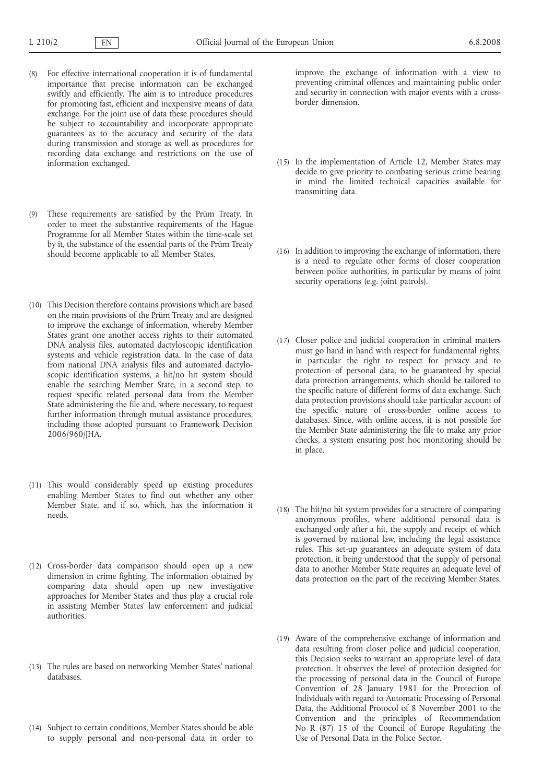- (8) For effective international cooperation it is of fundamental importance that precise information can be exchanged swiftly and efficiently. The aim is to introduce procedures for promoting fast, efficient and inexpensive means of data exchange. For the joint use of data these procedures should be subject to accountability and incorporate appropriate guarantees as to the accuracy and security of the data during transmission and storage as well as procedures for recording data exchange and restrictions on the use of information exchanged.
- (9) These requirements are satisfied by the Prüm Treaty. In order to meet the substantive requirements of the Hague Programme for all Member States within the time-scale set by it, the substance of the essential parts of the Prüm Treaty should become applicable to all Member States.
- (10) This Decision therefore contains provisions which are based on the main provisions of the Prüm Treaty and are designed to improve the exchange of information, whereby Member States grant one another access rights to their automated DNA analysis files, automated dactyloscopic identification systems and vehicle registration data. In the case of data from national DNA analysis files and automated dactyloscopic identification systems, a hit/no hit system should enable the searching Member State, in a second step, to request specific related personal data from the Member State administering the file and, where necessary, to request further information through mutual assistance procedures, including those adopted pursuant to Framework Decision 2006/960/JHA.
- (11) This would considerably speed up existing procedures enabling Member States to find out whether any other Member State, and if so, which, has the information it needs.
- (12) Cross-border data comparison should open up a new dimension in crime fighting. The information obtained by comparing data should open up new investigative approaches for Member States and thus play a crucial role in assisting Member States' law enforcement and judicial authorities.
- (13) The rules are based on networking Member States' national databases.
- (14) Subject to certain conditions, Member States should be able to supply personal and non-personal data in order to

improve the exchange of information with a view to preventing criminal offences and maintaining public order and security in connection with major events with a crossborder dimension.

- (15) In the implementation of Article 12, Member States may decide to give priority to combating serious crime bearing in mind the limited technical capacities available for transmitting data.
- (16) In addition to improving the exchange of information, there is a need to regulate other forms of closer cooperation between police authorities, in particular by means of joint security operations (e.g. joint patrols).
- (17) Closer police and judicial cooperation in criminal matters must go hand in hand with respect for fundamental rights, in particular the right to respect for privacy and to protection of personal data, to be guaranteed by special data protection arrangements, which should be tailored to the specific nature of different forms of data exchange. Such data protection provisions should take particular account of the specific nature of cross-border online access to databases. Since, with online access, it is not possible for the Member State administering the file to make any prior checks, a system ensuring post hoc monitoring should be in place.
- (18) The hit/no hit system provides for a structure of comparing anonymous profiles, where additional personal data is exchanged only after a hit, the supply and receipt of which is governed by national law, including the legal assistance rules. This set-up guarantees an adequate system of data protection, it being understood that the supply of personal data to another Member State requires an adequate level of data protection on the part of the receiving Member States.
- (19) Aware of the comprehensive exchange of information and data resulting from closer police and judicial cooperation, this Decision seeks to warrant an appropriate level of data protection. It observes the level of protection designed for the processing of personal data in the Council of Europe Convention of 28 January 1981 for the Protection of Individuals with regard to Automatic Processing of Personal Data, the Additional Protocol of 8 November 2001 to the Convention and the principles of Recommendation No R (87) 15 of the Council of Europe Regulating the Use of Personal Data in the Police Sector.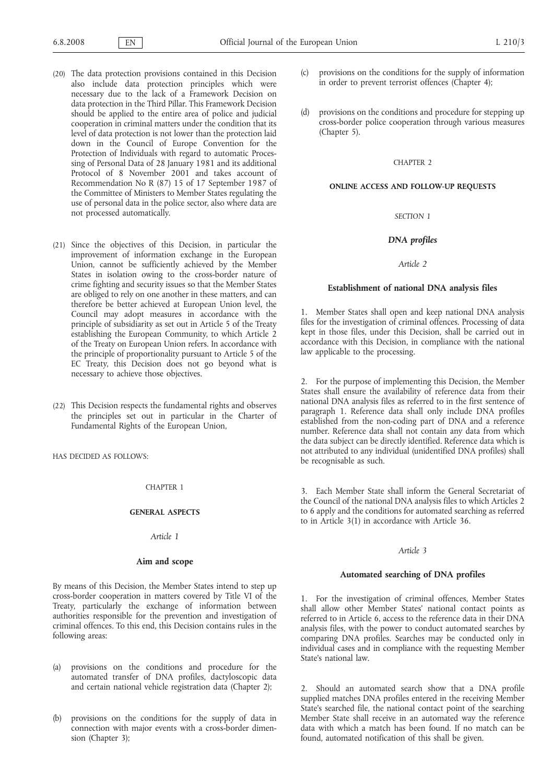- (20) The data protection provisions contained in this Decision also include data protection principles which were necessary due to the lack of a Framework Decision on data protection in the Third Pillar. This Framework Decision should be applied to the entire area of police and judicial cooperation in criminal matters under the condition that its level of data protection is not lower than the protection laid down in the Council of Europe Convention for the Protection of Individuals with regard to automatic Processing of Personal Data of 28 January 1981 and its additional Protocol of 8 November 2001 and takes account of Recommendation No R (87) 15 of 17 September 1987 of the Committee of Ministers to Member States regulating the use of personal data in the police sector, also where data are not processed automatically.
- (21) Since the objectives of this Decision, in particular the improvement of information exchange in the European Union, cannot be sufficiently achieved by the Member States in isolation owing to the cross-border nature of crime fighting and security issues so that the Member States are obliged to rely on one another in these matters, and can therefore be better achieved at European Union level, the Council may adopt measures in accordance with the principle of subsidiarity as set out in Article 5 of the Treaty establishing the European Community, to which Article 2 of the Treaty on European Union refers. In accordance with the principle of proportionality pursuant to Article 5 of the EC Treaty, this Decision does not go beyond what is necessary to achieve those objectives.
- (22) This Decision respects the fundamental rights and observes the principles set out in particular in the Charter of Fundamental Rights of the European Union,

HAS DECIDED AS FOLLOWS:

#### CHAPTER 1

#### **GENERAL ASPECTS**

#### *Article 1*

# **Aim and scope**

By means of this Decision, the Member States intend to step up cross-border cooperation in matters covered by Title VI of the Treaty, particularly the exchange of information between authorities responsible for the prevention and investigation of criminal offences. To this end, this Decision contains rules in the following areas:

- (a) provisions on the conditions and procedure for the automated transfer of DNA profiles, dactyloscopic data and certain national vehicle registration data (Chapter 2);
- (b) provisions on the conditions for the supply of data in connection with major events with a cross-border dimension (Chapter 3);
- (c) provisions on the conditions for the supply of information in order to prevent terrorist offences (Chapter 4);
- (d) provisions on the conditions and procedure for stepping up cross-border police cooperation through various measures (Chapter 5).

### CHAPTER 2

#### **ONLINE ACCESS AND FOLLOW-UP REQUESTS**

### *SECTION 1*

### *DNA profiles*

### *Article 2*

### **Establishment of national DNA analysis files**

1. Member States shall open and keep national DNA analysis files for the investigation of criminal offences. Processing of data kept in those files, under this Decision, shall be carried out in accordance with this Decision, in compliance with the national law applicable to the processing.

2. For the purpose of implementing this Decision, the Member States shall ensure the availability of reference data from their national DNA analysis files as referred to in the first sentence of paragraph 1. Reference data shall only include DNA profiles established from the non-coding part of DNA and a reference number. Reference data shall not contain any data from which the data subject can be directly identified. Reference data which is not attributed to any individual (unidentified DNA profiles) shall be recognisable as such.

3. Each Member State shall inform the General Secretariat of the Council of the national DNA analysis files to which Articles 2 to 6 apply and the conditions for automated searching as referred to in Article 3(1) in accordance with Article 36.

# *Article 3*

# **Automated searching of DNA profiles**

1. For the investigation of criminal offences, Member States shall allow other Member States' national contact points as referred to in Article 6, access to the reference data in their DNA analysis files, with the power to conduct automated searches by comparing DNA profiles. Searches may be conducted only in individual cases and in compliance with the requesting Member State's national law.

2. Should an automated search show that a DNA profile supplied matches DNA profiles entered in the receiving Member State's searched file, the national contact point of the searching Member State shall receive in an automated way the reference data with which a match has been found. If no match can be found, automated notification of this shall be given.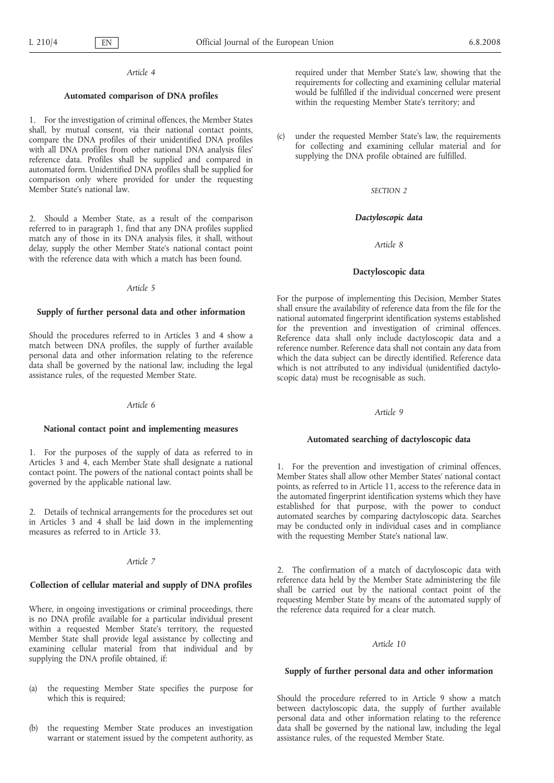## **Automated comparison of DNA profiles**

1. For the investigation of criminal offences, the Member States shall, by mutual consent, via their national contact points, compare the DNA profiles of their unidentified DNA profiles with all DNA profiles from other national DNA analysis files' reference data. Profiles shall be supplied and compared in automated form. Unidentified DNA profiles shall be supplied for comparison only where provided for under the requesting Member State's national law.

2. Should a Member State, as a result of the comparison referred to in paragraph 1, find that any DNA profiles supplied match any of those in its DNA analysis files, it shall, without delay, supply the other Member State's national contact point with the reference data with which a match has been found.

#### *Article 5*

### **Supply of further personal data and other information**

Should the procedures referred to in Articles 3 and 4 show a match between DNA profiles, the supply of further available personal data and other information relating to the reference data shall be governed by the national law, including the legal assistance rules, of the requested Member State.

#### *Article 6*

### **National contact point and implementing measures**

1. For the purposes of the supply of data as referred to in Articles 3 and 4, each Member State shall designate a national contact point. The powers of the national contact points shall be governed by the applicable national law.

2. Details of technical arrangements for the procedures set out in Articles 3 and 4 shall be laid down in the implementing measures as referred to in Article 33.

# *Article 7*

### **Collection of cellular material and supply of DNA profiles**

Where, in ongoing investigations or criminal proceedings, there is no DNA profile available for a particular individual present within a requested Member State's territory, the requested Member State shall provide legal assistance by collecting and examining cellular material from that individual and by supplying the DNA profile obtained, if:

- (a) the requesting Member State specifies the purpose for which this is required;
- the requesting Member State produces an investigation warrant or statement issued by the competent authority, as

required under that Member State's law, showing that the requirements for collecting and examining cellular material would be fulfilled if the individual concerned were present within the requesting Member State's territory; and

(c) under the requested Member State's law, the requirements for collecting and examining cellular material and for supplying the DNA profile obtained are fulfilled.

#### *SECTION 2*

# *Dactyloscopic data*

*Article 8*

### **Dactyloscopic data**

For the purpose of implementing this Decision, Member States shall ensure the availability of reference data from the file for the national automated fingerprint identification systems established for the prevention and investigation of criminal offences. Reference data shall only include dactyloscopic data and a reference number. Reference data shall not contain any data from which the data subject can be directly identified. Reference data which is not attributed to any individual (unidentified dactyloscopic data) must be recognisable as such.

#### *Article 9*

# **Automated searching of dactyloscopic data**

1. For the prevention and investigation of criminal offences, Member States shall allow other Member States' national contact points, as referred to in Article 11, access to the reference data in the automated fingerprint identification systems which they have established for that purpose, with the power to conduct automated searches by comparing dactyloscopic data. Searches may be conducted only in individual cases and in compliance with the requesting Member State's national law.

2. The confirmation of a match of dactyloscopic data with reference data held by the Member State administering the file shall be carried out by the national contact point of the requesting Member State by means of the automated supply of the reference data required for a clear match.

#### *Article 10*

### **Supply of further personal data and other information**

Should the procedure referred to in Article 9 show a match between dactyloscopic data, the supply of further available personal data and other information relating to the reference data shall be governed by the national law, including the legal assistance rules, of the requested Member State.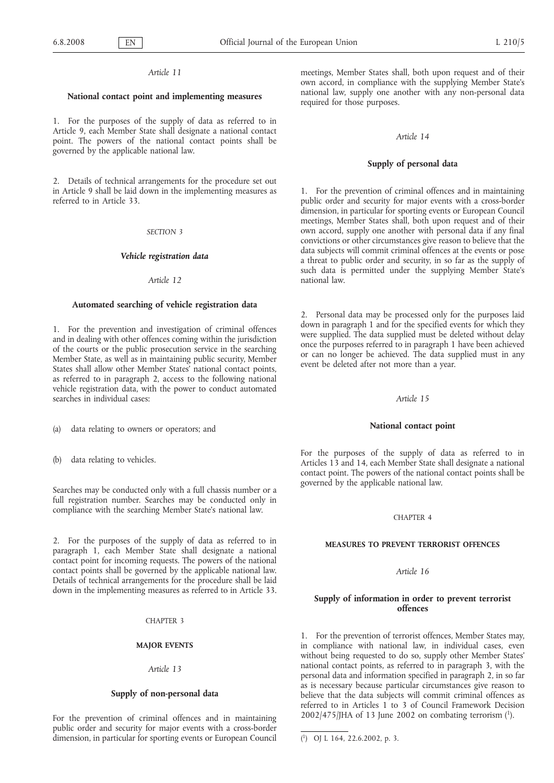# **National contact point and implementing measures**

1. For the purposes of the supply of data as referred to in Article 9, each Member State shall designate a national contact point. The powers of the national contact points shall be governed by the applicable national law.

2. Details of technical arrangements for the procedure set out in Article 9 shall be laid down in the implementing measures as referred to in Article 33.

# *SECTION 3*

### *Vehicle registration data*

# *Article 12*

### **Automated searching of vehicle registration data**

1. For the prevention and investigation of criminal offences and in dealing with other offences coming within the jurisdiction of the courts or the public prosecution service in the searching Member State, as well as in maintaining public security, Member States shall allow other Member States' national contact points, as referred to in paragraph 2, access to the following national vehicle registration data, with the power to conduct automated searches in individual cases:

(a) data relating to owners or operators; and

(b) data relating to vehicles.

Searches may be conducted only with a full chassis number or a full registration number. Searches may be conducted only in compliance with the searching Member State's national law.

2. For the purposes of the supply of data as referred to in paragraph 1, each Member State shall designate a national contact point for incoming requests. The powers of the national contact points shall be governed by the applicable national law. Details of technical arrangements for the procedure shall be laid down in the implementing measures as referred to in Article 33.

### CHAPTER 3

### **MAJOR EVENTS**

#### *Article 13*

#### **Supply of non-personal data**

For the prevention of criminal offences and in maintaining public order and security for major events with a cross-border dimension, in particular for sporting events or European Council meetings, Member States shall, both upon request and of their own accord, in compliance with the supplying Member State's national law, supply one another with any non-personal data required for those purposes.

# *Article 14*

#### **Supply of personal data**

1. For the prevention of criminal offences and in maintaining public order and security for major events with a cross-border dimension, in particular for sporting events or European Council meetings, Member States shall, both upon request and of their own accord, supply one another with personal data if any final convictions or other circumstances give reason to believe that the data subjects will commit criminal offences at the events or pose a threat to public order and security, in so far as the supply of such data is permitted under the supplying Member State's national law.

2. Personal data may be processed only for the purposes laid down in paragraph 1 and for the specified events for which they were supplied. The data supplied must be deleted without delay once the purposes referred to in paragraph 1 have been achieved or can no longer be achieved. The data supplied must in any event be deleted after not more than a year.

### *Article 15*

### **National contact point**

For the purposes of the supply of data as referred to in Articles 13 and 14, each Member State shall designate a national contact point. The powers of the national contact points shall be governed by the applicable national law.

### CHAPTER 4

# **MEASURES TO PREVENT TERRORIST OFFENCES**

#### *Article 16*

# **Supply of information in order to prevent terrorist offences**

1. For the prevention of terrorist offences, Member States may, in compliance with national law, in individual cases, even without being requested to do so, supply other Member States' national contact points, as referred to in paragraph 3, with the personal data and information specified in paragraph 2, in so far as is necessary because particular circumstances give reason to believe that the data subjects will commit criminal offences as referred to in Articles 1 to 3 of Council Framework Decision  $2002/475$ /JHA of 13 June 2002 on combating terrorism  $(^1)$ .

<sup>(</sup> 1) OJ L 164, 22.6.2002, p. 3.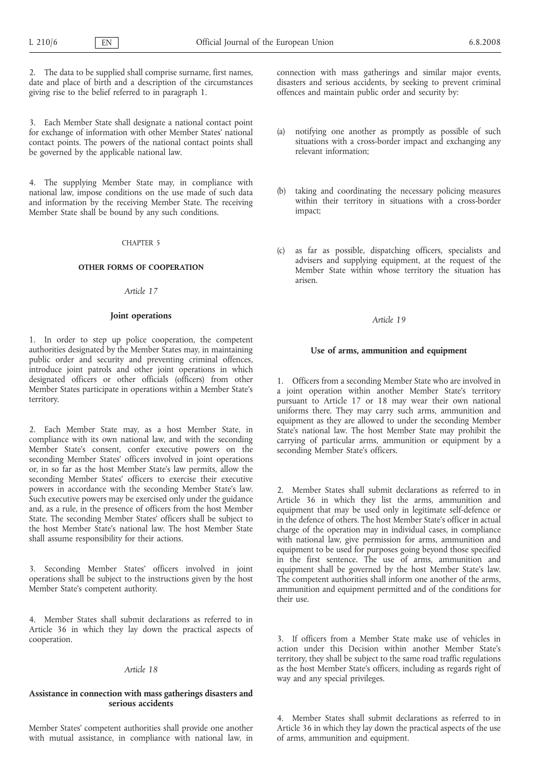2. The data to be supplied shall comprise surname, first names, date and place of birth and a description of the circumstances giving rise to the belief referred to in paragraph 1.

3. Each Member State shall designate a national contact point for exchange of information with other Member States' national contact points. The powers of the national contact points shall be governed by the applicable national law.

4. The supplying Member State may, in compliance with national law, impose conditions on the use made of such data and information by the receiving Member State. The receiving Member State shall be bound by any such conditions.

# CHAPTER 5

### **OTHER FORMS OF COOPERATION**

#### *Article 17*

### **Joint operations**

1. In order to step up police cooperation, the competent authorities designated by the Member States may, in maintaining public order and security and preventing criminal offences, introduce joint patrols and other joint operations in which designated officers or other officials (officers) from other Member States participate in operations within a Member State's territory.

2. Each Member State may, as a host Member State, in compliance with its own national law, and with the seconding Member State's consent, confer executive powers on the seconding Member States' officers involved in joint operations or, in so far as the host Member State's law permits, allow the seconding Member States' officers to exercise their executive powers in accordance with the seconding Member State's law. Such executive powers may be exercised only under the guidance and, as a rule, in the presence of officers from the host Member State. The seconding Member States' officers shall be subject to the host Member State's national law. The host Member State shall assume responsibility for their actions.

3. Seconding Member States' officers involved in joint operations shall be subject to the instructions given by the host Member State's competent authority.

4. Member States shall submit declarations as referred to in Article 36 in which they lay down the practical aspects of cooperation.

## *Article 18*

# **Assistance in connection with mass gatherings disasters and serious accidents**

Member States' competent authorities shall provide one another with mutual assistance, in compliance with national law, in connection with mass gatherings and similar major events, disasters and serious accidents, by seeking to prevent criminal offences and maintain public order and security by:

- (a) notifying one another as promptly as possible of such situations with a cross-border impact and exchanging any relevant information;
- (b) taking and coordinating the necessary policing measures within their territory in situations with a cross-border impact;
- (c) as far as possible, dispatching officers, specialists and advisers and supplying equipment, at the request of the Member State within whose territory the situation has arisen.

# *Article 19*

# **Use of arms, ammunition and equipment**

1. Officers from a seconding Member State who are involved in a joint operation within another Member State's territory pursuant to Article 17 or 18 may wear their own national uniforms there. They may carry such arms, ammunition and equipment as they are allowed to under the seconding Member State's national law. The host Member State may prohibit the carrying of particular arms, ammunition or equipment by a seconding Member State's officers.

2. Member States shall submit declarations as referred to in Article 36 in which they list the arms, ammunition and equipment that may be used only in legitimate self-defence or in the defence of others. The host Member State's officer in actual charge of the operation may in individual cases, in compliance with national law, give permission for arms, ammunition and equipment to be used for purposes going beyond those specified in the first sentence. The use of arms, ammunition and equipment shall be governed by the host Member State's law. The competent authorities shall inform one another of the arms, ammunition and equipment permitted and of the conditions for their use.

3. If officers from a Member State make use of vehicles in action under this Decision within another Member State's territory, they shall be subject to the same road traffic regulations as the host Member State's officers, including as regards right of way and any special privileges.

4. Member States shall submit declarations as referred to in Article 36 in which they lay down the practical aspects of the use of arms, ammunition and equipment.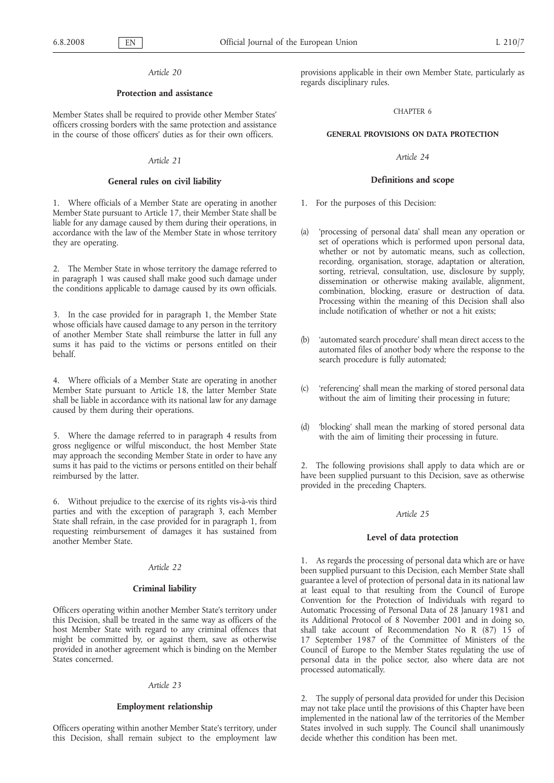### **Protection and assistance**

Member States shall be required to provide other Member States' officers crossing borders with the same protection and assistance in the course of those officers' duties as for their own officers.

# *Article 21*

### **General rules on civil liability**

1. Where officials of a Member State are operating in another Member State pursuant to Article 17, their Member State shall be liable for any damage caused by them during their operations, in accordance with the law of the Member State in whose territory they are operating.

2. The Member State in whose territory the damage referred to in paragraph 1 was caused shall make good such damage under the conditions applicable to damage caused by its own officials.

3. In the case provided for in paragraph 1, the Member State whose officials have caused damage to any person in the territory of another Member State shall reimburse the latter in full any sums it has paid to the victims or persons entitled on their behalf.

4. Where officials of a Member State are operating in another Member State pursuant to Article 18, the latter Member State shall be liable in accordance with its national law for any damage caused by them during their operations.

5. Where the damage referred to in paragraph 4 results from gross negligence or wilful misconduct, the host Member State may approach the seconding Member State in order to have any sums it has paid to the victims or persons entitled on their behalf reimbursed by the latter.

6. Without prejudice to the exercise of its rights vis-à-vis third parties and with the exception of paragraph 3, each Member State shall refrain, in the case provided for in paragraph 1, from requesting reimbursement of damages it has sustained from another Member State.

# *Article 22*

#### **Criminal liability**

Officers operating within another Member State's territory under this Decision, shall be treated in the same way as officers of the host Member State with regard to any criminal offences that might be committed by, or against them, save as otherwise provided in another agreement which is binding on the Member States concerned.

#### *Article 23*

### **Employment relationship**

Officers operating within another Member State's territory, under this Decision, shall remain subject to the employment law provisions applicable in their own Member State, particularly as regards disciplinary rules.

# CHAPTER 6

### **GENERAL PROVISIONS ON DATA PROTECTION**

# *Article 24*

#### **Definitions and scope**

- 1. For the purposes of this Decision:
- (a) 'processing of personal data' shall mean any operation or set of operations which is performed upon personal data, whether or not by automatic means, such as collection, recording, organisation, storage, adaptation or alteration, sorting, retrieval, consultation, use, disclosure by supply, dissemination or otherwise making available, alignment, combination, blocking, erasure or destruction of data. Processing within the meaning of this Decision shall also include notification of whether or not a hit exists;
- (b) 'automated search procedure' shall mean direct access to the automated files of another body where the response to the search procedure is fully automated;
- (c) 'referencing' shall mean the marking of stored personal data without the aim of limiting their processing in future;
- (d) 'blocking' shall mean the marking of stored personal data with the aim of limiting their processing in future.

2. The following provisions shall apply to data which are or have been supplied pursuant to this Decision, save as otherwise provided in the preceding Chapters.

# *Article 25*

### **Level of data protection**

1. As regards the processing of personal data which are or have been supplied pursuant to this Decision, each Member State shall guarantee a level of protection of personal data in its national law at least equal to that resulting from the Council of Europe Convention for the Protection of Individuals with regard to Automatic Processing of Personal Data of 28 January 1981 and its Additional Protocol of 8 November 2001 and in doing so, shall take account of Recommendation No R (87) 15 of 17 September 1987 of the Committee of Ministers of the Council of Europe to the Member States regulating the use of personal data in the police sector, also where data are not processed automatically.

2. The supply of personal data provided for under this Decision may not take place until the provisions of this Chapter have been implemented in the national law of the territories of the Member States involved in such supply. The Council shall unanimously decide whether this condition has been met.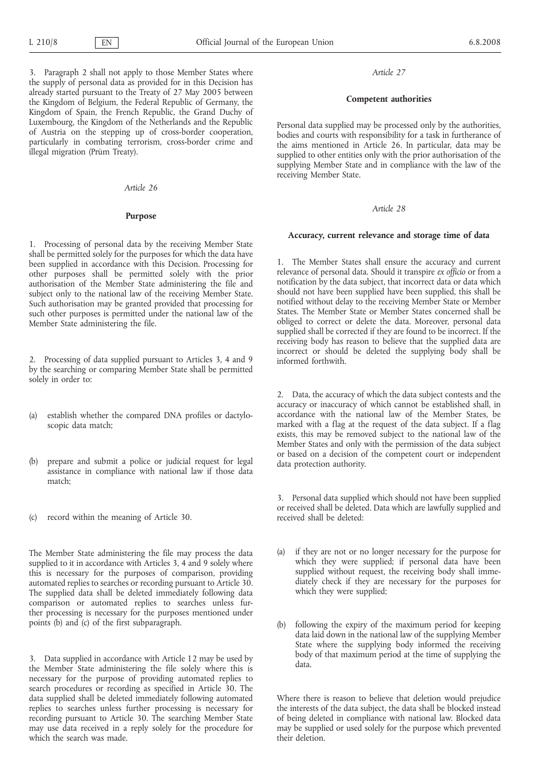3. Paragraph 2 shall not apply to those Member States where the supply of personal data as provided for in this Decision has already started pursuant to the Treaty of 27 May 2005 between the Kingdom of Belgium, the Federal Republic of Germany, the Kingdom of Spain, the French Republic, the Grand Duchy of Luxembourg, the Kingdom of the Netherlands and the Republic of Austria on the stepping up of cross-border cooperation, particularly in combating terrorism, cross-border crime and illegal migration (Prüm Treaty).

#### *Article 26*

#### **Purpose**

1. Processing of personal data by the receiving Member State shall be permitted solely for the purposes for which the data have been supplied in accordance with this Decision. Processing for other purposes shall be permitted solely with the prior authorisation of the Member State administering the file and subject only to the national law of the receiving Member State. Such authorisation may be granted provided that processing for such other purposes is permitted under the national law of the Member State administering the file.

2. Processing of data supplied pursuant to Articles 3, 4 and 9 by the searching or comparing Member State shall be permitted solely in order to:

- (a) establish whether the compared DNA profiles or dactyloscopic data match;
- prepare and submit a police or judicial request for legal assistance in compliance with national law if those data match;
- (c) record within the meaning of Article 30.

The Member State administering the file may process the data supplied to it in accordance with Articles 3, 4 and 9 solely where this is necessary for the purposes of comparison, providing automated replies to searches or recording pursuant to Article 30. The supplied data shall be deleted immediately following data comparison or automated replies to searches unless further processing is necessary for the purposes mentioned under points (b) and (c) of the first subparagraph.

3. Data supplied in accordance with Article 12 may be used by the Member State administering the file solely where this is necessary for the purpose of providing automated replies to search procedures or recording as specified in Article 30. The data supplied shall be deleted immediately following automated replies to searches unless further processing is necessary for recording pursuant to Article 30. The searching Member State may use data received in a reply solely for the procedure for which the search was made.

# *Article 27*

# **Competent authorities**

Personal data supplied may be processed only by the authorities, bodies and courts with responsibility for a task in furtherance of the aims mentioned in Article 26. In particular, data may be supplied to other entities only with the prior authorisation of the supplying Member State and in compliance with the law of the receiving Member State.

### *Article 28*

### **Accuracy, current relevance and storage time of data**

1. The Member States shall ensure the accuracy and current relevance of personal data. Should it transpire *ex officio* or from a notification by the data subject, that incorrect data or data which should not have been supplied have been supplied, this shall be notified without delay to the receiving Member State or Member States. The Member State or Member States concerned shall be obliged to correct or delete the data. Moreover, personal data supplied shall be corrected if they are found to be incorrect. If the receiving body has reason to believe that the supplied data are incorrect or should be deleted the supplying body shall be informed forthwith.

2. Data, the accuracy of which the data subject contests and the accuracy or inaccuracy of which cannot be established shall, in accordance with the national law of the Member States, be marked with a flag at the request of the data subject. If a flag exists, this may be removed subject to the national law of the Member States and only with the permission of the data subject or based on a decision of the competent court or independent data protection authority.

3. Personal data supplied which should not have been supplied or received shall be deleted. Data which are lawfully supplied and received shall be deleted:

- (a) if they are not or no longer necessary for the purpose for which they were supplied; if personal data have been supplied without request, the receiving body shall immediately check if they are necessary for the purposes for which they were supplied;
- (b) following the expiry of the maximum period for keeping data laid down in the national law of the supplying Member State where the supplying body informed the receiving body of that maximum period at the time of supplying the data.

Where there is reason to believe that deletion would prejudice the interests of the data subject, the data shall be blocked instead of being deleted in compliance with national law. Blocked data may be supplied or used solely for the purpose which prevented their deletion.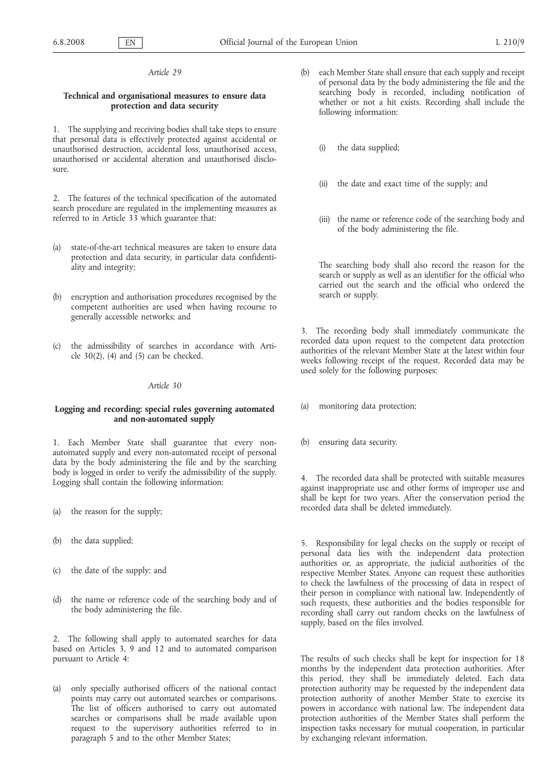# **Technical and organisational measures to ensure data protection and data security**

1. The supplying and receiving bodies shall take steps to ensure that personal data is effectively protected against accidental or unauthorised destruction, accidental loss, unauthorised access, unauthorised or accidental alteration and unauthorised disclosure.

2. The features of the technical specification of the automated search procedure are regulated in the implementing measures as referred to in Article 33 which guarantee that:

- (a) state-of-the-art technical measures are taken to ensure data protection and data security, in particular data confidentiality and integrity;
- (b) encryption and authorisation procedures recognised by the competent authorities are used when having recourse to generally accessible networks; and
- (c) the admissibility of searches in accordance with Article  $30(2)$ ,  $(4)$  and  $(5)$  can be checked.

#### *Article 30*

### **Logging and recording: special rules governing automated and non-automated supply**

1. Each Member State shall guarantee that every nonautomated supply and every non-automated receipt of personal data by the body administering the file and by the searching body is logged in order to verify the admissibility of the supply. Logging shall contain the following information:

- (a) the reason for the supply;
- (b) the data supplied;
- (c) the date of the supply; and
- (d) the name or reference code of the searching body and of the body administering the file.

2. The following shall apply to automated searches for data based on Articles 3, 9 and 12 and to automated comparison pursuant to Article 4:

(a) only specially authorised officers of the national contact points may carry out automated searches or comparisons. The list of officers authorised to carry out automated searches or comparisons shall be made available upon request to the supervisory authorities referred to in paragraph 5 and to the other Member States;

- each Member State shall ensure that each supply and receipt of personal data by the body administering the file and the searching body is recorded, including notification of whether or not a hit exists. Recording shall include the following information:
	- the data supplied;
	- (ii) the date and exact time of the supply; and
	- (iii) the name or reference code of the searching body and of the body administering the file.

The searching body shall also record the reason for the search or supply as well as an identifier for the official who carried out the search and the official who ordered the search or supply.

3. The recording body shall immediately communicate the recorded data upon request to the competent data protection authorities of the relevant Member State at the latest within four weeks following receipt of the request. Recorded data may be used solely for the following purposes:

- (a) monitoring data protection;
- (b) ensuring data security.

4. The recorded data shall be protected with suitable measures against inappropriate use and other forms of improper use and shall be kept for two years. After the conservation period the recorded data shall be deleted immediately.

5. Responsibility for legal checks on the supply or receipt of personal data lies with the independent data protection authorities or, as appropriate, the judicial authorities of the respective Member States. Anyone can request these authorities to check the lawfulness of the processing of data in respect of their person in compliance with national law. Independently of such requests, these authorities and the bodies responsible for recording shall carry out random checks on the lawfulness of supply, based on the files involved.

The results of such checks shall be kept for inspection for 18 months by the independent data protection authorities. After this period, they shall be immediately deleted. Each data protection authority may be requested by the independent data protection authority of another Member State to exercise its powers in accordance with national law. The independent data protection authorities of the Member States shall perform the inspection tasks necessary for mutual cooperation, in particular by exchanging relevant information.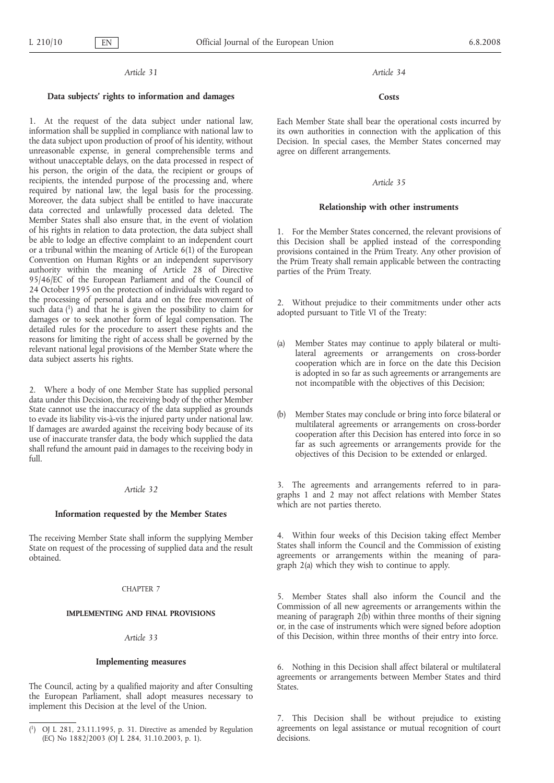# **Data subjects' rights to information and damages**

1. At the request of the data subject under national law, information shall be supplied in compliance with national law to the data subject upon production of proof of his identity, without unreasonable expense, in general comprehensible terms and without unacceptable delays, on the data processed in respect of his person, the origin of the data, the recipient or groups of recipients, the intended purpose of the processing and, where required by national law, the legal basis for the processing. Moreover, the data subject shall be entitled to have inaccurate data corrected and unlawfully processed data deleted. The Member States shall also ensure that, in the event of violation of his rights in relation to data protection, the data subject shall be able to lodge an effective complaint to an independent court or a tribunal within the meaning of Article 6(1) of the European Convention on Human Rights or an independent supervisory authority within the meaning of Article 28 of Directive 95/46/EC of the European Parliament and of the Council of 24 October 1995 on the protection of individuals with regard to the processing of personal data and on the free movement of such data  $(1)$  and that he is given the possibility to claim for damages or to seek another form of legal compensation. The detailed rules for the procedure to assert these rights and the reasons for limiting the right of access shall be governed by the relevant national legal provisions of the Member State where the data subject asserts his rights.

2. Where a body of one Member State has supplied personal data under this Decision, the receiving body of the other Member State cannot use the inaccuracy of the data supplied as grounds to evade its liability vis-à-vis the injured party under national law. If damages are awarded against the receiving body because of its use of inaccurate transfer data, the body which supplied the data shall refund the amount paid in damages to the receiving body in full.

# *Article 32*

### **Information requested by the Member States**

The receiving Member State shall inform the supplying Member State on request of the processing of supplied data and the result obtained.

#### CHAPTER 7

#### **IMPLEMENTING AND FINAL PROVISIONS**

# *Article 33*

### **Implementing measures**

The Council, acting by a qualified majority and after Consulting the European Parliament, shall adopt measures necessary to implement this Decision at the level of the Union.

*Article 34*

# **Costs**

Each Member State shall bear the operational costs incurred by its own authorities in connection with the application of this Decision. In special cases, the Member States concerned may agree on different arrangements.

#### *Article 35*

### **Relationship with other instruments**

1. For the Member States concerned, the relevant provisions of this Decision shall be applied instead of the corresponding provisions contained in the Prüm Treaty. Any other provision of the Prüm Treaty shall remain applicable between the contracting parties of the Prüm Treaty.

2. Without prejudice to their commitments under other acts adopted pursuant to Title VI of the Treaty:

- (a) Member States may continue to apply bilateral or multilateral agreements or arrangements on cross-border cooperation which are in force on the date this Decision is adopted in so far as such agreements or arrangements are not incompatible with the objectives of this Decision;
- (b) Member States may conclude or bring into force bilateral or multilateral agreements or arrangements on cross-border cooperation after this Decision has entered into force in so far as such agreements or arrangements provide for the objectives of this Decision to be extended or enlarged.

3. The agreements and arrangements referred to in paragraphs 1 and 2 may not affect relations with Member States which are not parties thereto.

4. Within four weeks of this Decision taking effect Member States shall inform the Council and the Commission of existing agreements or arrangements within the meaning of paragraph 2(a) which they wish to continue to apply.

5. Member States shall also inform the Council and the Commission of all new agreements or arrangements within the meaning of paragraph 2(b) within three months of their signing or, in the case of instruments which were signed before adoption of this Decision, within three months of their entry into force.

6. Nothing in this Decision shall affect bilateral or multilateral agreements or arrangements between Member States and third States.

7. This Decision shall be without prejudice to existing agreements on legal assistance or mutual recognition of court decisions.

<sup>(</sup> 1) OJ L 281, 23.11.1995, p. 31. Directive as amended by Regulation (EC) No 1882/2003 (OJ L 284, 31.10.2003, p. 1).